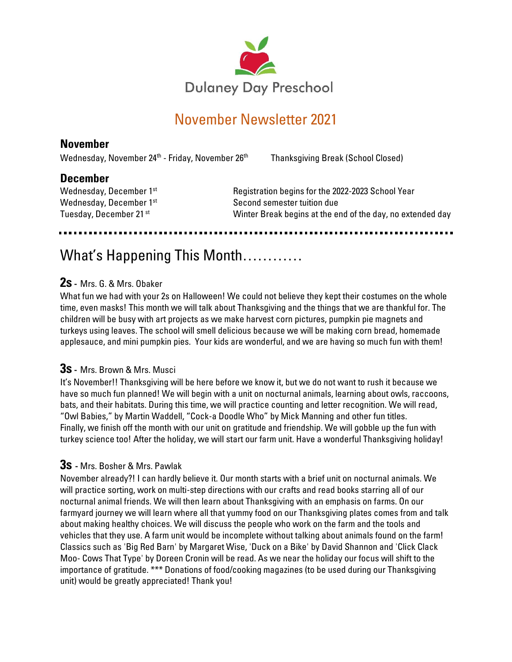

# November Newsletter 2021

# **November**

Wednesday, November 24<sup>th</sup> - Friday, November 26

Thanksgiving Break (School Closed)

## **December**

Wednesday, December 1st Wednesday, December 1st Tuesday, December 21 <sup>st</sup>

 Registration begins for the 2022-2023 School Year Second semester tuition due Winter Break begins at the end of the day, no extended day

# What's Happening This Month…………

#### **2s -** Mrs. G. & Mrs. Obaker

What fun we had with your 2s on Halloween! We could not believe they kept their costumes on the whole time, even masks! This month we will talk about Thanksgiving and the things that we are thankful for. The children will be busy with art projects as we make harvest corn pictures, pumpkin pie magnets and turkeys using leaves. The school will smell delicious because we will be making corn bread, homemade applesauce, and mini pumpkin pies. Your kids are wonderful, and we are having so much fun with them!

#### **3s -** Mrs. Brown & Mrs. Musci

It's November!! Thanksgiving will be here before we know it, but we do not want to rush it because we have so much fun planned! We will begin with a unit on nocturnal animals, learning about owls, raccoons, bats, and their habitats. During this time, we will practice counting and letter recognition. We will read, "Owl Babies," by Martin Waddell, "Cock-a Doodle Who" by Mick Manning and other fun titles. Finally, we finish off the month with our unit on gratitude and friendship. We will gobble up the fun with turkey science too! After the holiday, we will start our farm unit. Have a wonderful Thanksgiving holiday!

#### **3s -** Mrs. Bosher & Mrs. Pawlak

November already?! I can hardly believe it. Our month starts with a brief unit on nocturnal animals. We will practice sorting, work on multi-step directions with our crafts and read books starring all of our nocturnal animal friends. We will then learn about Thanksgiving with an emphasis on farms. On our farmyard journey we will learn where all that yummy food on our Thanksgiving plates comes from and talk about making healthy choices. We will discuss the people who work on the farm and the tools and vehicles that they use. A farm unit would be incomplete without talking about animals found on the farm! Classics such as 'Big Red Barn' by Margaret Wise, 'Duck on a Bike' by David Shannon and 'Click Clack Moo- Cows That Type' by Doreen Cronin will be read. As we near the holiday our focus will shift to the importance of gratitude. \*\*\* Donations of food/cooking magazines (to be used during our Thanksgiving unit) would be greatly appreciated! Thank you!